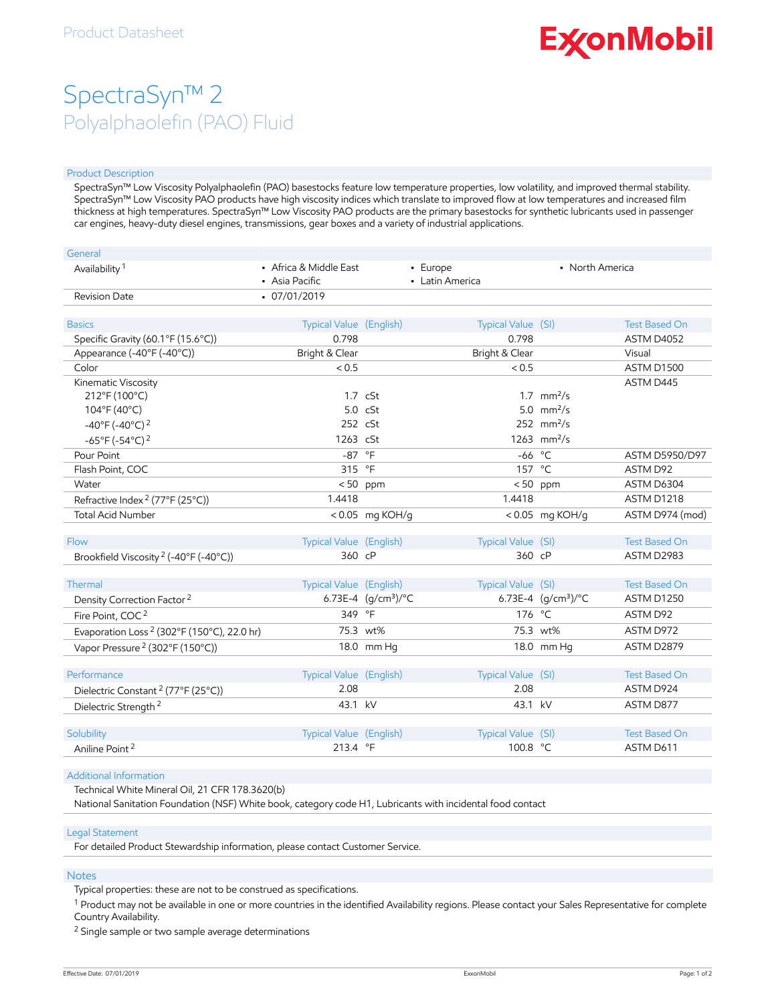# **ExconMobil**

## SpectraSyn™ 2 Polyalphaolefin (PAO) Fluid

#### Product Description

SpectraSyn™ Low Viscosity Polyalphaolefin (PAO) basestocks feature low temperature properties, low volatility, and improved thermal stability. SpectraSyn™ Low Viscosity PAO products have high viscosity indices which translate to improved flow at low temperatures and increased film thickness at high temperatures. SpectraSyn™ Low Viscosity PAO products are the primary basestocks for synthetic lubricants used in passenger car engines, heavy-duty diesel engines, transmissions, gear boxes and a variety of industrial applications.

| General                                                |                                          |                       |                             |                               |                      |
|--------------------------------------------------------|------------------------------------------|-----------------------|-----------------------------|-------------------------------|----------------------|
| Availability <sup>1</sup>                              | • Africa & Middle East<br>• Asia Pacific |                       | - Europe<br>• Latin America | • North America               |                      |
| <b>Revision Date</b>                                   | $-07/01/2019$                            |                       |                             |                               |                      |
| <b>Basics</b>                                          | Typical Value (English)                  |                       | Typical Value (SI)          |                               | <b>Test Based On</b> |
| Specific Gravity (60.1°F (15.6°C))                     | 0.798                                    |                       | 0.798                       |                               | ASTM D4052           |
| Appearance (-40°F (-40°C))                             | Bright & Clear                           |                       | Bright & Clear              |                               | Visual               |
| Color                                                  | < 0.5                                    |                       | < 0.5                       |                               | ASTM D1500           |
| Kinematic Viscosity                                    |                                          |                       |                             |                               | ASTM D445            |
| 212°F (100°C)                                          |                                          | $1.7 \text{ cSt}$     |                             | $1.7 \, \text{mm}^2/\text{s}$ |                      |
| 104°F (40°C)                                           |                                          | $5.0 \cS$ t           |                             | 5.0 $mm^2/s$                  |                      |
| $-40^{\circ}$ F ( $-40^{\circ}$ C) <sup>2</sup>        | 252 cSt                                  |                       |                             | 252 $mm^2/s$                  |                      |
| $-65^{\circ}$ F (-54°C) <sup>2</sup>                   | 1263 cSt                                 |                       |                             | 1263 $mm^2/s$                 |                      |
| Pour Point                                             | $-87$ °F                                 |                       |                             | $-66$ °C                      | ASTM D5950/D97       |
| Flash Point, COC                                       | 315 °F                                   |                       |                             | 157 °C                        | ASTM D92             |
| Water                                                  |                                          | $< 50$ ppm            |                             | $< 50$ ppm                    | ASTM D6304           |
| Refractive Index <sup>2</sup> (77°F (25°C))            | 1.4418                                   |                       | 1.4418                      |                               | ASTM D1218           |
| <b>Total Acid Number</b>                               |                                          | <0.05 mg KOH/g        |                             | <0.05 mg KOH/g                | ASTM D974 (mod)      |
| Flow                                                   | Typical Value (English)                  |                       | Typical Value (SI)          |                               | <b>Test Based On</b> |
| Brookfield Viscosity <sup>2</sup> (-40°F (-40°C))      | 360 cP                                   |                       |                             | 360 cP                        | ASTM D2983           |
|                                                        |                                          |                       |                             |                               |                      |
| Thermal                                                | Typical Value (English)                  |                       | Typical Value (SI)          |                               | <b>Test Based On</b> |
| Density Correction Factor <sup>2</sup>                 |                                          | 6.73E-4 $(g/cm3)$ /°C |                             | 6.73E-4 $(g/cm3)$ /°C         | ASTM D1250           |
| Fire Point, COC <sup>2</sup>                           | 349 °F                                   |                       |                             | 176 °C                        | ASTM D92             |
| Evaporation Loss <sup>2</sup> (302°F (150°C), 22.0 hr) |                                          | 75.3 wt%              |                             | 75.3 wt%                      | ASTM D972            |
| Vapor Pressure <sup>2</sup> (302°F (150°C))            |                                          | 18.0 mm Hg            |                             | 18.0 mm Hg                    | ASTM D2879           |
| Performance                                            | Typical Value (English)                  |                       | Typical Value (SI)          |                               | <b>Test Based On</b> |
| Dielectric Constant <sup>2</sup> (77°F (25°C))         | 2.08                                     |                       | 2.08                        |                               | ASTM D924            |
|                                                        | 43.1 kV                                  |                       | 43.1 kV                     |                               | ASTM D877            |
| Dielectric Strength <sup>2</sup>                       |                                          |                       |                             |                               |                      |
| Solubility                                             | Typical Value (English)                  |                       | Typical Value (SI)          |                               | <b>Test Based On</b> |
| Aniline Point <sup>2</sup>                             | 213.4 °F                                 |                       | 100.8 °C                    |                               | ASTM D611            |
|                                                        |                                          |                       |                             |                               |                      |

#### Additional Information

Technical White Mineral Oil, 21 CFR 178.3620(b)

National Sanitation Foundation (NSF) White book, category code H1, Lubricants with incidental food contact

#### Legal Statement

For detailed Product Stewardship information, please contact Customer Service.

#### Notes

Typical properties: these are not to be construed as specifications.

 $^1$  Product may not be available in one or more countries in the identified Availability regions. Please contact your Sales Representative for complete Country Availability.

<sup>2</sup> Single sample or two sample average determinations